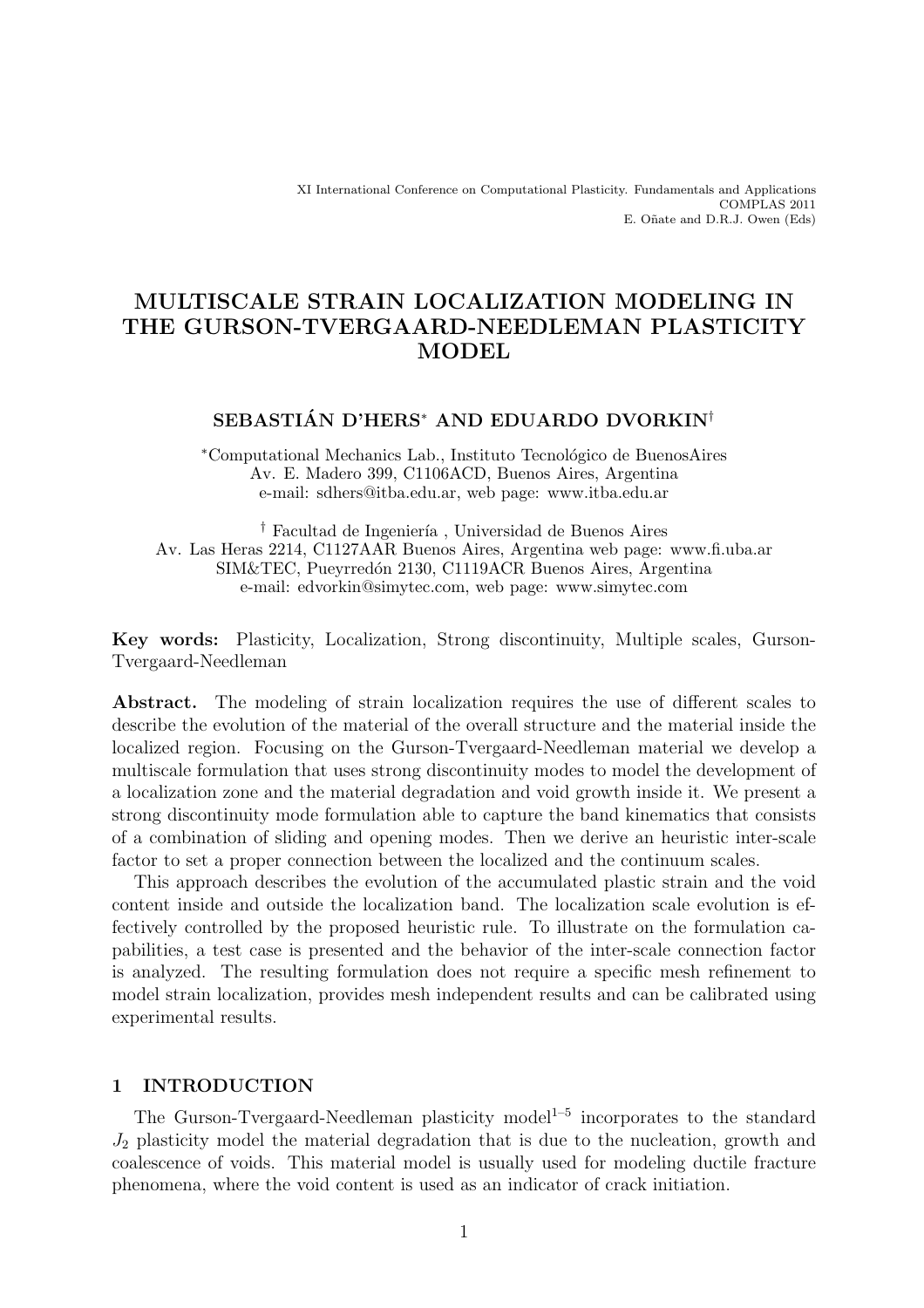XI International Conference on Computational Plasticity. Fundamentals and Applications COMPLAS 2011 E. Oñate and D.R.J. Owen (Eds)

# MULTISCALE STRAIN LOCALIZATION MODELING IN THE GURSON-TVERGAARD-NEEDLEMAN PLASTICITY **MODEL**

# SEBASTIÁN D'HERS<sup>\*</sup> AND EDUARDO DVORKIN<sup>†</sup>

<sup>∗</sup>Computational Mechanics Lab., Instituto Tecnol´ogico de BuenosAires Av. E. Madero 399, C1106ACD, Buenos Aires, Argentina e-mail: sdhers@itba.edu.ar, web page: www.itba.edu.ar

<sup>†</sup> Facultad de Ingeniería, Universidad de Buenos Aires Av. Las Heras 2214, C1127AAR Buenos Aires, Argentina web page: www.fi.uba.ar SIM&TEC, Pueyrredón 2130, C1119ACR Buenos Aires, Argentina e-mail: edvorkin@simytec.com, web page: www.simytec.com

Key words: Plasticity, Localization, Strong discontinuity, Multiple scales, Gurson-Tvergaard-Needleman

Abstract. The modeling of strain localization requires the use of different scales to describe the evolution of the material of the overall structure and the material inside the localized region. Focusing on the Gurson-Tvergaard-Needleman material we develop a multiscale formulation that uses strong discontinuity modes to model the development of a localization zone and the material degradation and void growth inside it. We present a strong discontinuity mode formulation able to capture the band kinematics that consists of a combination of sliding and opening modes. Then we derive an heuristic inter-scale factor to set a proper connection between the localized and the continuum scales.

This approach describes the evolution of the accumulated plastic strain and the void content inside and outside the localization band. The localization scale evolution is effectively controlled by the proposed heuristic rule. To illustrate on the formulation capabilities, a test case is presented and the behavior of the inter-scale connection factor is analyzed. The resulting formulation does not require a specific mesh refinement to model strain localization, provides mesh independent results and can be calibrated using experimental results.

### 1 INTRODUCTION

The Gurson-Tvergaard-Needleman plasticity model<sup>1-5</sup> incorporates to the standard  $J_2$  plasticity model the material degradation that is due to the nucleation, growth and coalescence of voids. This material model is usually used for modeling ductile fracture phenomena, where the void content is used as an indicator of crack initiation.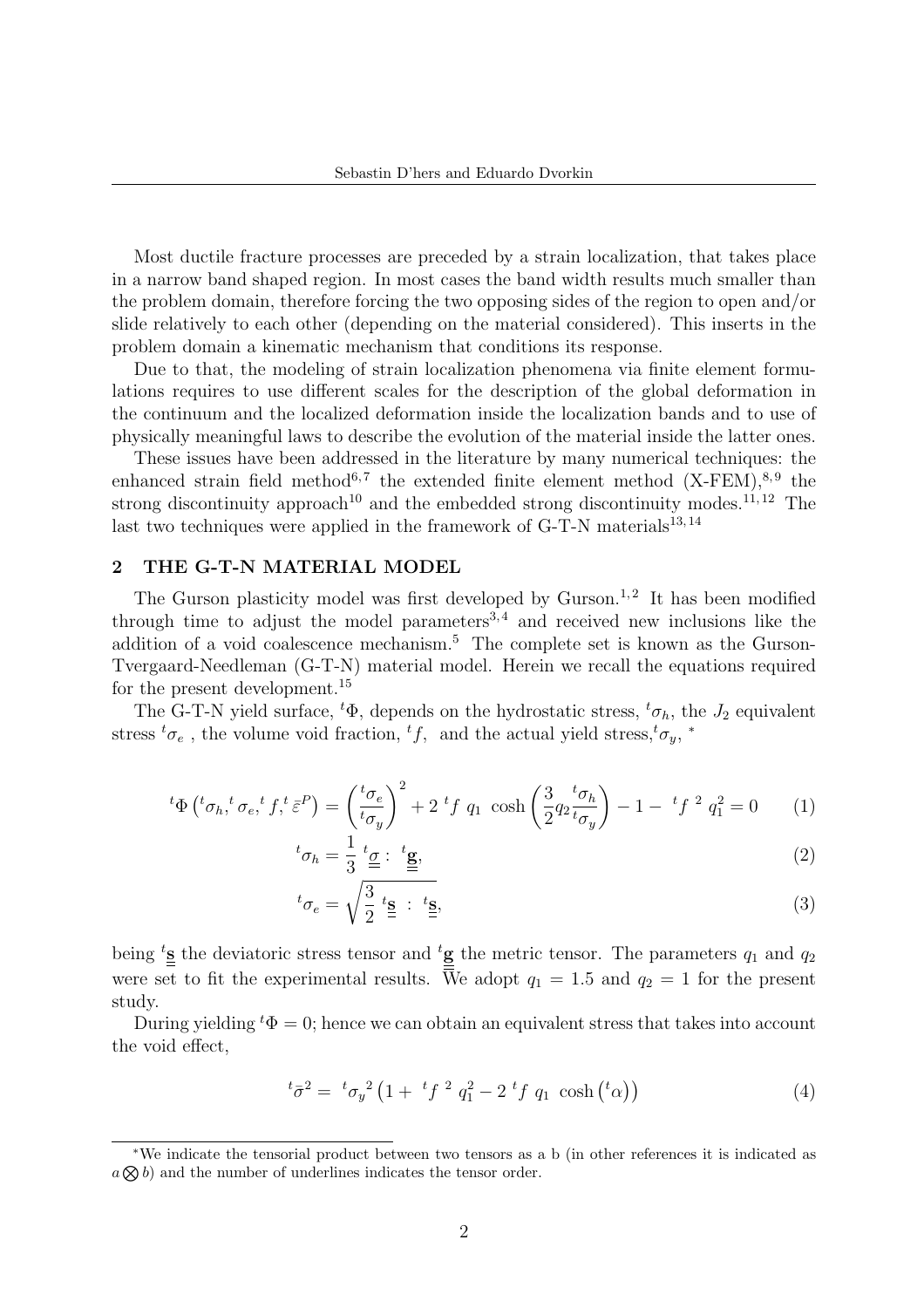Most ductile fracture processes are preceded by a strain localization, that takes place in a narrow band shaped region. In most cases the band width results much smaller than the problem domain, therefore forcing the two opposing sides of the region to open and/or slide relatively to each other (depending on the material considered). This inserts in the problem domain a kinematic mechanism that conditions its response.

Due to that, the modeling of strain localization phenomena via finite element formulations requires to use different scales for the description of the global deformation in the continuum and the localized deformation inside the localization bands and to use of physically meaningful laws to describe the evolution of the material inside the latter ones.

These issues have been addressed in the literature by many numerical techniques: the enhanced strain field method<sup>6,7</sup> the extended finite element method  $(X-FEM)$ ,<sup>8,9</sup> the strong discontinuity approach<sup>10</sup> and the embedded strong discontinuity modes.<sup>11, 12</sup> The last two techniques were applied in the framework of G-T-N materials<sup>13,14</sup>

### 2 THE G-T-N MATERIAL MODEL

The Gurson plasticity model was first developed by Gurson.<sup>1,2</sup> It has been modified through time to adjust the model parameters  $3,4$  and received new inclusions like the addition of a void coalescence mechanism.<sup>5</sup> The complete set is known as the Gurson-Tvergaard-Needleman (G-T-N) material model. Herein we recall the equations required for the present development.<sup>15</sup>

The G-T-N yield surface,  ${}^t\Phi$ , depends on the hydrostatic stress,  ${}^t\sigma_h$ , the  $J_2$  equivalent stress  ${}^t\sigma_e$ , the volume void fraction,  ${}^t f$ , and the actual yield stress, ${}^t\sigma_y$ , \*

$$
{}^{t}\Phi\left({}^{t}\sigma_{h},{}^{t}\sigma_{e},{}^{t}f,{}^{t}\bar{\varepsilon}^{P}\right) = \left(\frac{{}^{t}\sigma_{e}}{{}^{t}\sigma_{y}}\right)^{2} + 2\ {}^{t}f\ q_{1}\ \cosh\left(\frac{3}{2}q_{2}\frac{{}^{t}\sigma_{h}}{{}^{t}\sigma_{y}}\right) - 1 - \ {}^{t}f\ ^{2}\ q_{1}^{2} = 0 \qquad (1)
$$

$$
{}^{t}\sigma_{h} = \frac{1}{3} \underbrace{{}^{t}\underline{\sigma}} : \underbrace{{}^{t}\underline{\mathbf{g}}},\tag{2}
$$

$$
{}^{t}\sigma_{e} = \sqrt{\frac{3}{2}} \stackrel{t_{\mathbf{S}}}{=} : \stackrel{t_{\mathbf{S}}}{=} \tag{3}
$$

being <sup>t</sup><sub>s</sub> the deviatoric stress tensor and <sup>t</sup><sub>g</sub> the metric tensor. The parameters  $q_1$  and  $q_2$ were set to fit the experimental results. We adopt  $q_1 = 1.5$  and  $q_2 = 1$  for the present study.

During yielding  ${}^t\Phi = 0$ ; hence we can obtain an equivalent stress that takes into account the void effect,

$$
{}^{t}\bar{\sigma}^{2} = {}^{t}\sigma_{y}^{2} \left(1 + {}^{t}f^{2} q_{1}^{2} - 2 {}^{t}f q_{1} \cosh ({}^{t}\alpha) \right)
$$
 (4)

<sup>∗</sup>We indicate the tensorial product between two tensors as a b (in other references it is indicated as We indicate the tensorial product between two tensors as a  $a \bigotimes b$  and the number of underlines indicates the tensor order.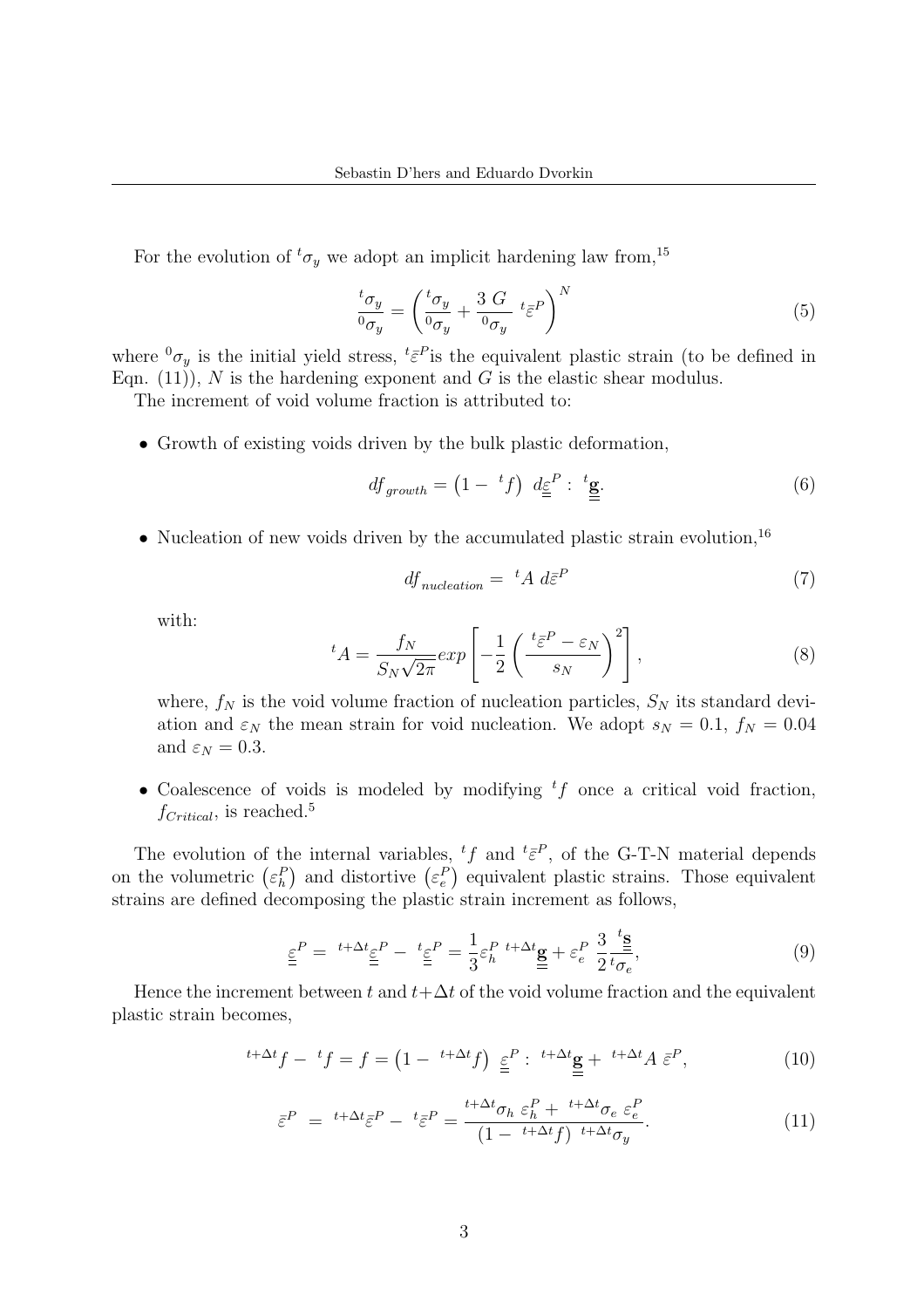For the evolution of  ${}^t\sigma_y$  we adopt an implicit hardening law from,  $^{15}$ 

$$
\frac{{}^{t}\sigma_{y}}{{}^{0}\sigma_{y}} = \left(\frac{{}^{t}\sigma_{y}}{{}^{0}\sigma_{y}} + \frac{3}{\phantom{10}\sigma_{y}}\,t\frac{1}{\epsilon}P\right)^{N} \tag{5}
$$

where  ${}^{0}\sigma_y$  is the initial yield stress,  ${}^{t}\bar{\varepsilon}^P$  is the equivalent plastic strain (to be defined in Eqn. (11)), N is the hardening exponent and G is the elastic shear modulus.

The increment of void volume fraction is attributed to:

∙ Growth of existing voids driven by the bulk plastic deformation,

$$
df_{growth} = \left(1 - {}^{t}f\right) d\underline{\underline{\epsilon}}^{P} : \underline{\underline{\epsilon}}.
$$
 (6)

∙ Nucleation of new voids driven by the accumulated plastic strain evolution,<sup>16</sup>

$$
df_{nucleation} = {}^{t}A \ d\bar{\varepsilon}^{P} \tag{7}
$$

with:

$$
{}^{t}A = \frac{f_N}{S_N\sqrt{2\pi}}exp\left[-\frac{1}{2}\left(\frac{{}^{t}\bar{\varepsilon}^P - \varepsilon_N}{s_N}\right)^2\right],
$$
\n(8)

where,  $f_N$  is the void volume fraction of nucleation particles,  $S_N$  its standard deviation and  $\varepsilon_N$  the mean strain for void nucleation. We adopt  $s_N = 0.1$ ,  $f_N = 0.04$ and  $\varepsilon_N = 0.3$ .

• Coalescence of voids is modeled by modifying  $tf$  once a critical void fraction,  $f_{\text{Critical}}$ , is reached.<sup>5</sup>

The evolution of the internal variables,  ${}^t f$  and  ${}^t \bar{\varepsilon}^P$ , of the G-T-N material depends The evolution of the internal variables,  $\tau$  and  $\varepsilon$ , or the G-1-N material depends<br>on the volumetric  $(\varepsilon_h^P)$  and distortive  $(\varepsilon_e^P)$  equivalent plastic strains. Those equivalent strains are defined decomposing the plastic strain increment as follows,

$$
\underline{\underline{\varepsilon}}^P = {}^{t+\Delta t}\underline{\underline{\varepsilon}}^P - {}^{t}\underline{\underline{\varepsilon}}^P = \frac{1}{3}\varepsilon_h^P {}^{t+\Delta t}\underline{\underline{\mathbf{g}}} + \varepsilon_e^P \frac{3}{2} \frac{I \underline{\underline{\mathbf{s}}}}{t_{\sigma_e}},\tag{9}
$$

Hence the increment between t and  $t + \Delta t$  of the void volume fraction and the equivalent plastic strain becomes,

$$
{}^{t+\Delta t}f - {}^{t}f = f = \left(1 - {}^{t+\Delta t}f\right) \, \underline{\underline{\varepsilon}}^{P} : \, {}^{t+\Delta t}\underline{\underline{\mathbf{g}}} + {}^{t+\Delta t}A \, \overline{\underline{\varepsilon}}^{P}, \tag{10}
$$

$$
\bar{\varepsilon}^{P} = {}^{t+\Delta t} \bar{\varepsilon}^{P} - {}^{t} \bar{\varepsilon}^{P} = \frac{{}^{t+\Delta t} \sigma_{h} \varepsilon_{h}^{P} + {}^{t+\Delta t} \sigma_{e} \varepsilon_{e}^{P}}{(1 - {}^{t+\Delta t} f) {}^{t+\Delta t} \sigma_{y}}.
$$
\n(11)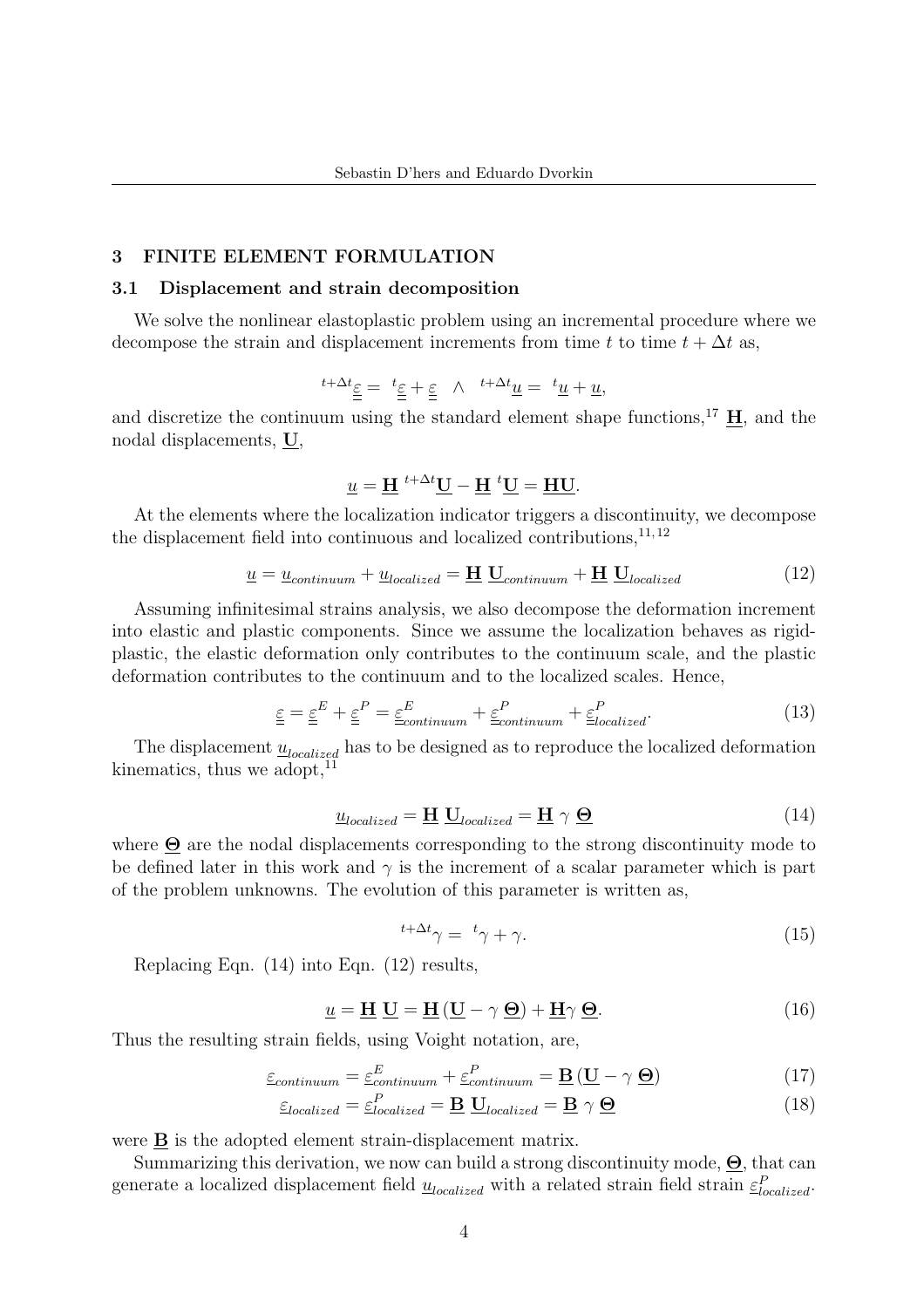### 3 FINITE ELEMENT FORMULATION

#### 3.1 Displacement and strain decomposition

We solve the nonlinear elastoplastic problem using an incremental procedure where we decompose the strain and displacement increments from time t to time  $t + \Delta t$  as,

$$
{}^{t+\Delta t}\underline{\varepsilon} = \ {}^{t}\underline{\varepsilon} + \underline{\varepsilon} \ \wedge \ {}^{t+\Delta t}\underline{u} = \ {}^{t}\underline{u} + \underline{u},
$$

and discretize the continuum using the standard element shape functions,<sup>17</sup>  $\mathbf{H}$ , and the nodal displacements, U,

$$
\underline{u} = \underline{H}^{t + \Delta t} \underline{U} - \underline{H}^{t} \underline{U} = \underline{HU}.
$$

At the elements where the localization indicator triggers a discontinuity, we decompose the displacement field into continuous and localized contributions,  $^{11, 12}$ 

$$
\underline{u} = \underline{u}_{continuum} + \underline{u}_{localized} = \underline{H} \underline{U}_{continuum} + \underline{H} \underline{U}_{localized}
$$
\n(12)

Assuming infinitesimal strains analysis, we also decompose the deformation increment into elastic and plastic components. Since we assume the localization behaves as rigidplastic, the elastic deformation only contributes to the continuum scale, and the plastic deformation contributes to the continuum and to the localized scales. Hence,

$$
\underline{\underline{\varepsilon}} = \underline{\underline{\varepsilon}}^E + \underline{\underline{\varepsilon}}^P = \underline{\underline{\varepsilon}}^E_{continuum} + \underline{\underline{\varepsilon}}^P_{continuum} + \underline{\underline{\varepsilon}}^P_{localized}.
$$
 (13)

The displacement  $\underline{u}_{localized}$  has to be designed as to reproduce the localized deformation kinematics, thus we adopt, $^{11}$ 

$$
\underline{u}_{localized} = \underline{H} \underline{U}_{localized} = \underline{H} \gamma \underline{\Theta} \tag{14}
$$

where Θ are the nodal displacements corresponding to the strong discontinuity mode to be defined later in this work and  $\gamma$  is the increment of a scalar parameter which is part of the problem unknowns. The evolution of this parameter is written as,

$$
t + \Delta t \gamma = t \gamma + \gamma. \tag{15}
$$

Replacing Eqn. (14) into Eqn. (12) results,

$$
\underline{u} = \underline{H} \underline{U} = \underline{H} (\underline{U} - \gamma \underline{\Theta}) + \underline{H} \gamma \underline{\Theta}.
$$
 (16)

Thus the resulting strain fields, using Voight notation, are,

$$
\underline{\varepsilon}_{continuum} = \underline{\varepsilon}_{continuum}^{E} + \underline{\varepsilon}_{continuum}^{P} + \underline{\mathbf{B}} \left( \underline{\mathbf{U}} - \gamma \underline{\boldsymbol{\Theta}} \right) \tag{17}
$$

$$
\underline{\varepsilon}_{localized} = \underline{\varepsilon}_{localized}^P = \underline{\mathbf{B}} \underline{\mathbf{U}}_{localized} = \underline{\mathbf{B}} \gamma \underline{\mathbf{\Theta}} \tag{18}
$$

were **B** is the adopted element strain-displacement matrix.

Summarizing this derivation, we now can build a strong discontinuity mode,  $\Theta$ , that can generate a localized displacement field  $\underline{u}_{localized}$  with a related strain field strain  $\underline{\varepsilon}_{localized}^P$ .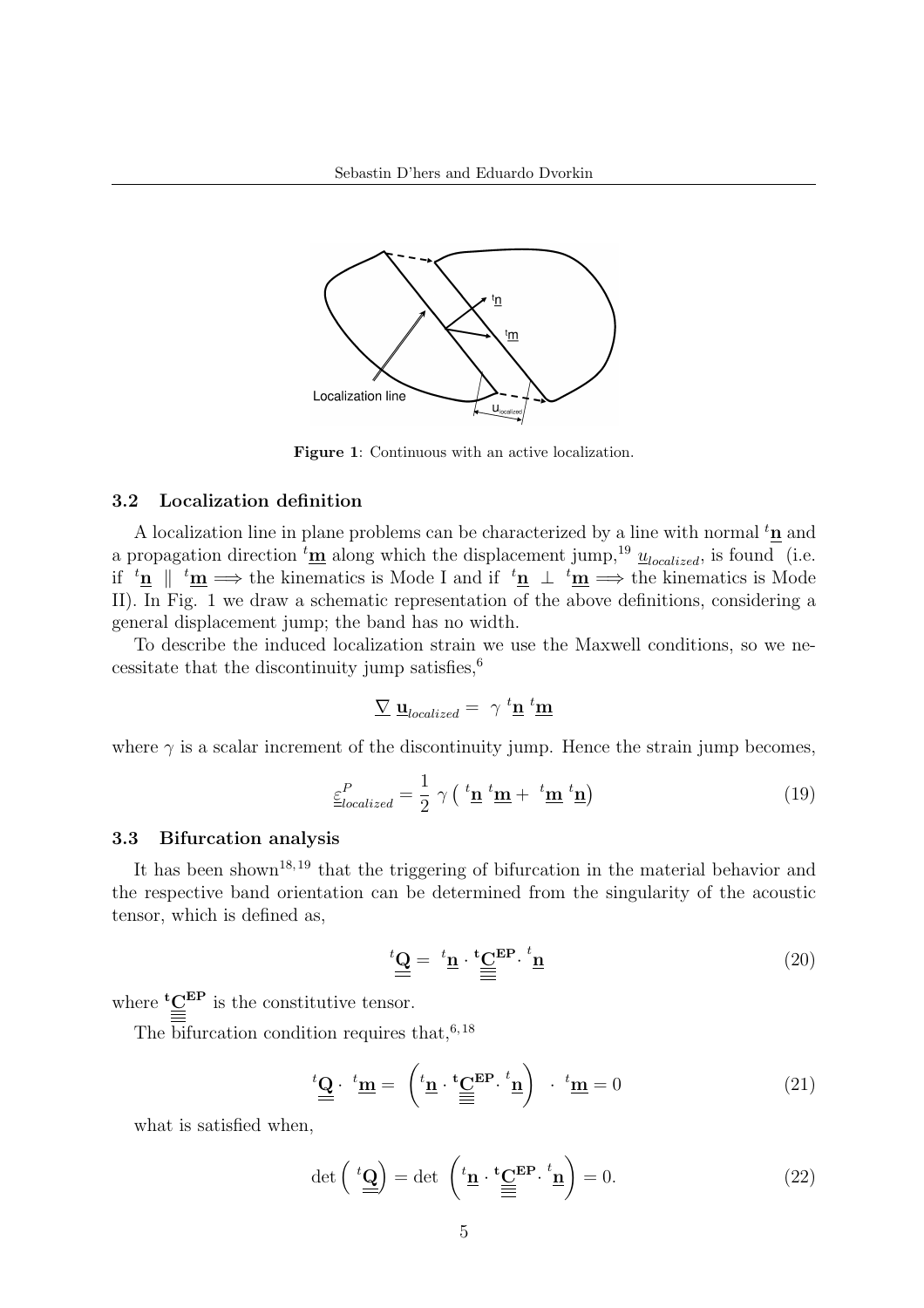

Figure 1: Continuous with an active localization.

## 3.2 Localization definition

A localization line in plane problems can be characterized by a line with normal  ${}^t{\bf n}$  and a propagation direction  ${}^t\underline{\mathbf{m}}$  along which the displacement jump,<sup>19</sup>  $\underline{u}_{localized}$ , is found (i.e. if  ${}^t\underline{n} \parallel {}^t\underline{m} \Longrightarrow$  the kinematics is Mode I and if  ${}^t\underline{n} \perp {}^t\underline{m} \Longrightarrow$  the kinematics is Mode II). In Fig. 1 we draw a schematic representation of the above definitions, considering a general displacement jump; the band has no width.

To describe the induced localization strain we use the Maxwell conditions, so we necessitate that the discontinuity jump satisfies,  $6\overline{6}$ 

$$
\sum \underline{\mathbf{u}}_{localized} = \gamma^t \underline{\mathbf{n}}^t \underline{\mathbf{m}}
$$

where  $\gamma$  is a scalar increment of the discontinuity jump. Hence the strain jump becomes,

$$
\underline{\varepsilon}_{localized}^{P} = \frac{1}{2} \gamma \left( \frac{t_{\mathbf{n}}}{\mathbf{m}} + \frac{t_{\mathbf{m}}}{\mathbf{m}} \frac{t_{\mathbf{n}}}{\mathbf{n}} \right) \tag{19}
$$

# 3.3 Bifurcation analysis

It has been shown<sup>18, 19</sup> that the triggering of bifurcation in the material behavior and the respective band orientation can be determined from the singularity of the acoustic tensor, which is defined as,

$$
\stackrel{t\mathbf{Q}}{=} \stackrel{t\mathbf{n}}{=} \stackrel{t\mathbf{C}}{=} \stackrel{E\mathbf{P}}{=} \stackrel{t\mathbf{n}}{=} \tag{20}
$$

where  ${}^t\underline{C}^{\texttt{EP}}$  is the constitutive tensor.

The bifurcation condition requires that,  $6,18$ 

$$
\stackrel{t}{=} \stackrel{\mathbf{u}}{=} \left( \stackrel{t}{=} \stackrel{\mathbf{u}}{=} \stackrel{\mathbf{t}}{=} \stackrel{\mathbf{c}}{=} \stackrel{\mathbf{E}}{=} \stackrel{\mathbf{F}}{=} \stackrel{\mathbf{u}}{=} 0 \right) \quad (21)
$$

what is satisfied when,

$$
\det\left(\ ^{t}\underline{\mathbf{Q}}\right) = \det\ \left( \ ^{t}\underline{\mathbf{n}} \cdot \ ^{t}\underline{\mathbf{C}}^{\mathbf{EP}} \cdot \ ^{t}\underline{\mathbf{n}}\right) = 0. \tag{22}
$$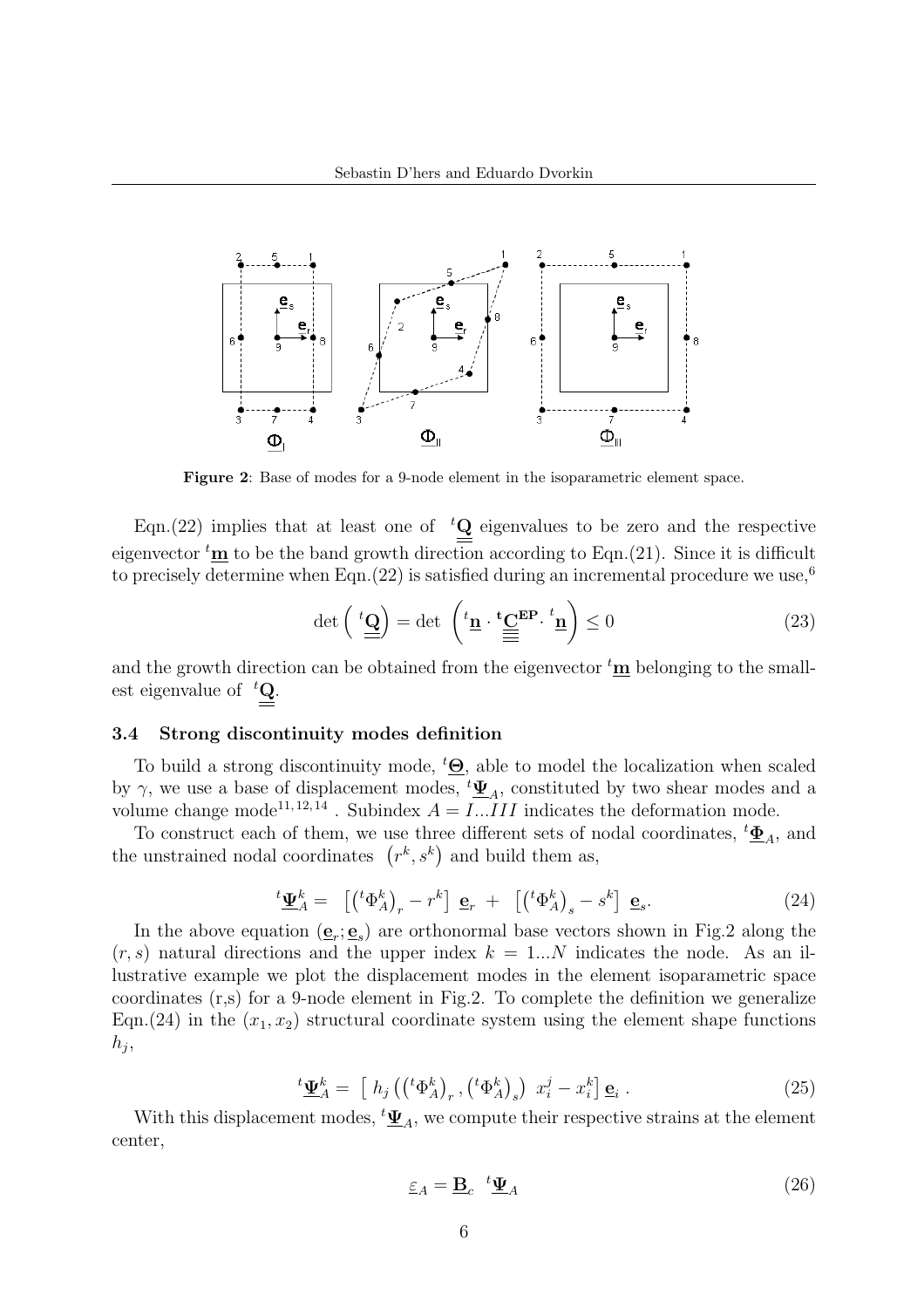

Figure 2: Base of modes for a 9-node element in the isoparametric element space.

Eqn.(22) implies that at least one of  ${}^tQ$  eigenvalues to be zero and the respective eigenvector  $<sup>t</sup>m$  to be the band growth direction according to Eqn.(21). Since it is difficult</sup> to precisely determine when Eqn. (22) is satisfied during an incremental procedure we use,<sup>6</sup>

$$
\det\left(\begin{array}{c}\n\cdot\mathbf{Q} \\
\hline\n\end{array}\right) = \det\left(\begin{array}{c}\n\cdot\mathbf{t} \\
\hline\n\end{array}\right) \cdot \frac{\mathbf{t} \cdot \mathbf{Q}}{\mathbf{E}}\mathbf{P} \cdot \frac{t}{\mathbf{n}}\right) \leq 0
$$
\n(23)

and the growth direction can be obtained from the eigenvector  ${}^t\mathbf{m}$  belonging to the smallest eigenvalue of  ${}^tQ$ .

### 3.4 Strong discontinuity modes definition

To build a strong discontinuity mode,  $^t\mathbf{\Theta}$ , able to model the localization when scaled by  $\gamma$ , we use a base of displacement modes,  $^t \Psi_A$ , constituted by two shear modes and a volume change mode<sup>11, 12, 14</sup>. Subindex  $A = I \dots III$  indicates the deformation mode.

To construct each of them, we use three different sets of nodal coordinates,  ${}^t \underline{\Phi}_A$ , and To construct each of them, we use three different sets of n<br>the unstrained nodal coordinates  $(r^k, s^k)$  and build them as,

$$
{}^{t}\underline{\Psi}_{A}^{k} = \left[ \begin{pmatrix} {}^{t}\Phi_{A}^{k} \end{pmatrix}_{r} - r^{k} \right] \underline{\mathbf{e}}_{r} + \left[ \begin{pmatrix} {}^{t}\Phi_{A}^{k} \end{pmatrix}_{s} - s^{k} \right] \underline{\mathbf{e}}_{s}.
$$
 (24)

In the above equation  $(\mathbf{e}_r; \mathbf{e}_s)$  are orthonormal base vectors shown in Fig.2 along the  $(r, s)$  natural directions and the upper index  $k = 1...N$  indicates the node. As an illustrative example we plot the displacement modes in the element isoparametric space coordinates (r,s) for a 9-node element in Fig.2. To complete the definition we generalize Eqn.(24) in the  $(x_1, x_2)$  structural coordinate system using the element shape functions  $h_j$ 

$$
{}^{t}\underline{\Psi}_{A}^{k} = \left[ h_{j} \left( \left( {}^{t}\Phi_{A}^{k} \right)_{r}, \left( {}^{t}\Phi_{A}^{k} \right)_{s} \right) x_{i}^{j} - x_{i}^{k} \right] \underline{\mathbf{e}}_{i} . \tag{25}
$$

With this displacement modes,  ${}^t \underline{\Psi}_A$ , we compute their respective strains at the element center,

$$
\underline{\varepsilon}_A = \underline{\mathbf{B}}_c \ {}^t \underline{\Psi}_A \tag{26}
$$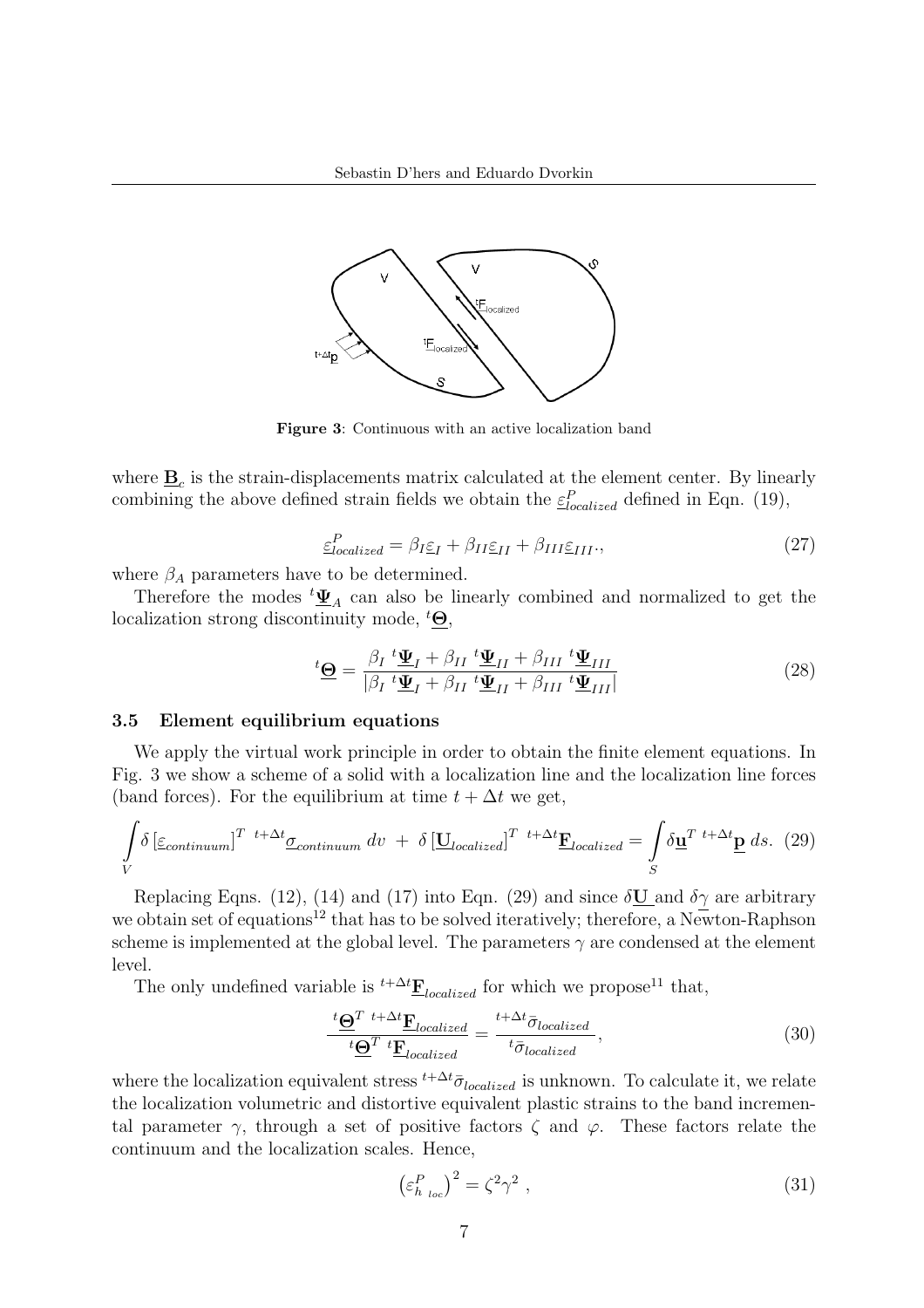

Figure 3: Continuous with an active localization band

where  $\underline{\mathbf{B}}_c$  is the strain-displacements matrix calculated at the element center. By linearly combining the above defined strain fields we obtain the  $\varepsilon_{localized}^P$  defined in Eqn. (19),

$$
\underline{\varepsilon}_{localized}^P = \beta_I \underline{\varepsilon}_I + \beta_{II} \underline{\varepsilon}_{II} + \beta_{III} \underline{\varepsilon}_{III},\tag{27}
$$

where  $\beta_A$  parameters have to be determined.

Therefore the modes  $^t \underline{\Psi}_A$  can also be linearly combined and normalized to get the localization strong discontinuity mode,  ${}^t\Theta$ ,

$$
{}^{t}\underline{\Theta} = \frac{\beta_{I} {}^{t}\underline{\Psi}_{I} + \beta_{II} {}^{t}\underline{\Psi}_{II} + \beta_{III} {}^{t}\underline{\Psi}_{III}}{|\beta_{I} {}^{t}\underline{\Psi}_{I} + \beta_{II} {}^{t}\underline{\Psi}_{II} + \beta_{III} {}^{t}\underline{\Psi}_{III}|}
$$
(28)

### 3.5 Element equilibrium equations

We apply the virtual work principle in order to obtain the finite element equations. In Fig. 3 we show a scheme of a solid with a localization line and the localization line forces (band forces). For the equilibrium at time  $t + \Delta t$  we get,

$$
\int_{V} \delta \left[ \underline{\varepsilon}_{continuum} \right]^{T} \stackrel{t + \Delta t}{\sim} \underline{\sigma}_{continuum} \, dv \, + \, \delta \left[ \underline{\mathbf{U}}_{localized} \right]^{T} \stackrel{t + \Delta t}{\sim} \underline{\mathbf{F}}_{localized} = \int_{S} \delta \underline{\mathbf{u}}^{T} \stackrel{t + \Delta t}{\sim} \underline{\mathbf{p}} \, ds. \tag{29}
$$

Replacing Eqns. (12), (14) and (17) into Eqn. (29) and since  $\delta U$  and  $\delta \gamma$  are arbitrary we obtain set of equations<sup>12</sup> that has to be solved iteratively; therefore, a Newton-Raphson scheme is implemented at the global level. The parameters  $\gamma$  are condensed at the element level.

The only undefined variable is  $^{t+\Delta t}$ **F**<sub>localized</sub> for which we propose<sup>11</sup> that,

$$
\frac{\iota \underline{\Theta}^T t + \Delta t \underline{\mathbf{F}}_{localized}}{\iota \underline{\Theta}^T t \underline{\mathbf{F}}_{localized}} = \frac{t + \Delta t \overline{\sigma}_{localized}}{t \overline{\sigma}_{localized}},
$$
\n(30)

where the localization equivalent stress  $^{t+\Delta t}\bar{\sigma}_{localized}$  is unknown. To calculate it, we relate the localization volumetric and distortive equivalent plastic strains to the band incremental parameter  $\gamma$ , through a set of positive factors  $\zeta$  and  $\varphi$ . These factors relate the continuum and the localization scales. Hence,

$$
\left(\varepsilon_{h_{loc}}^P\right)^2 = \zeta^2 \gamma^2 \tag{31}
$$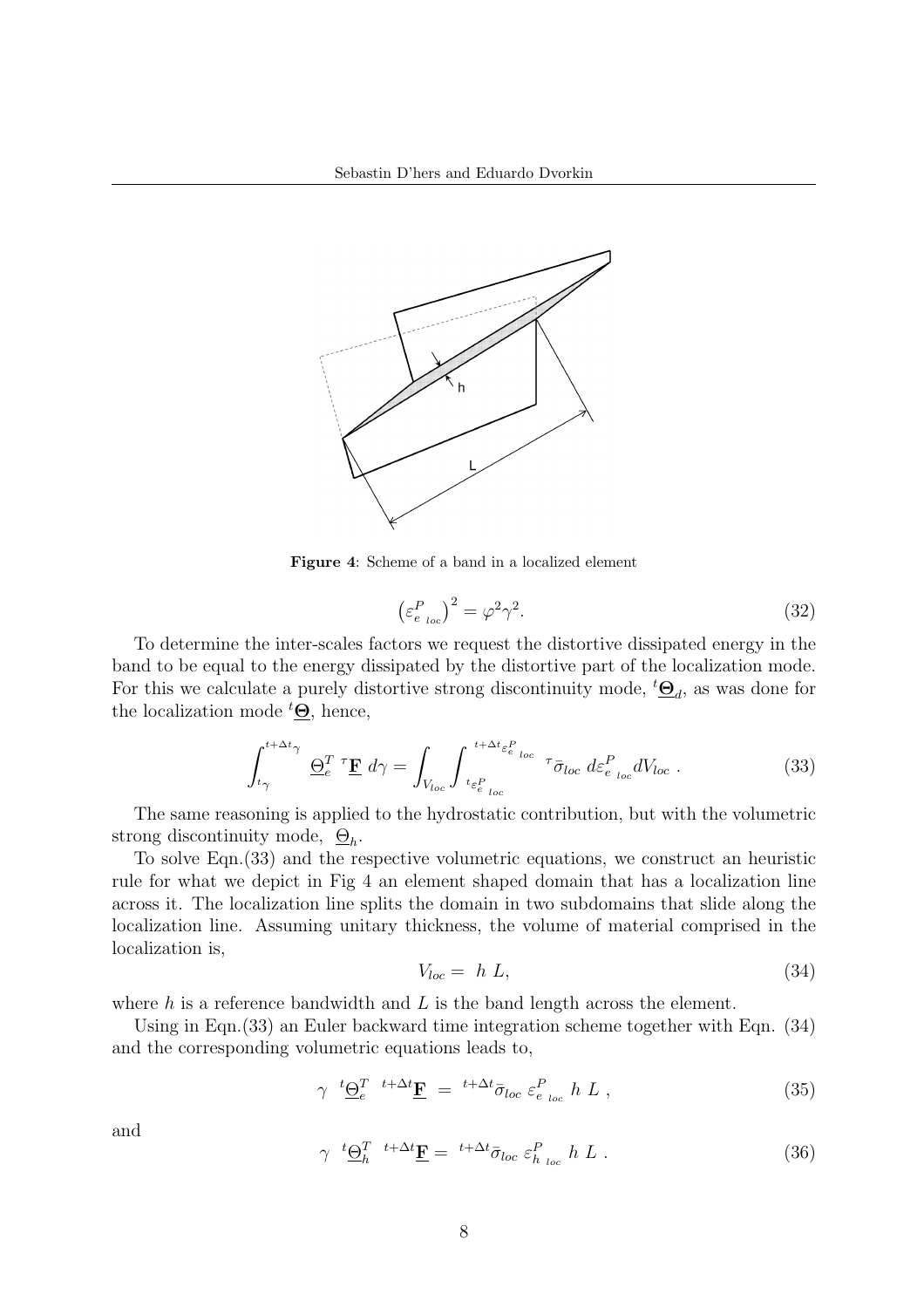

Figure 4: Scheme of a band in a localized element

$$
\left(\varepsilon_{e_{loc}}^P\right)^2 = \varphi^2 \gamma^2. \tag{32}
$$

To determine the inter-scales factors we request the distortive dissipated energy in the band to be equal to the energy dissipated by the distortive part of the localization mode. For this we calculate a purely distortive strong discontinuity mode,  ${}^t\mathbf{\underline{\Theta}}_d$ , as was done for the localization mode  ${}^t\mathbf{\Theta}$ , hence,

$$
\int_{t_{\gamma}}^{t+\Delta t_{\gamma}} \underline{\Theta}_{e}^{T} \, \, \mathcal{F} \underline{\mathbf{F}} \, \, d\gamma = \int_{V_{loc}} \int_{t_{\varepsilon}^{P}_{e}}^{t+\Delta t_{\varepsilon}^{P}_{e}} \, \int_{t_{\varepsilon}^{P}_{e}}^{\infty} \, \, \sigma \bar{\sigma}_{loc} \, \, d\varepsilon_{e}^{P}_{loc} \, dV_{loc} \, . \tag{33}
$$

The same reasoning is applied to the hydrostatic contribution, but with the volumetric strong discontinuity mode,  $\mathcal{Q}_h$ .

To solve Eqn.(33) and the respective volumetric equations, we construct an heuristic rule for what we depict in Fig 4 an element shaped domain that has a localization line across it. The localization line splits the domain in two subdomains that slide along the localization line. Assuming unitary thickness, the volume of material comprised in the localization is,

$$
V_{loc} = h L, \tag{34}
$$

where  $h$  is a reference bandwidth and  $L$  is the band length across the element.

Using in Eqn.(33) an Euler backward time integration scheme together with Eqn. (34) and the corresponding volumetric equations leads to,

$$
\gamma \t^{t} \underline{\Theta}_{e}^{T} \t^{t+\Delta t} \underline{\mathbf{F}} = {}^{t+\Delta t} \bar{\sigma}_{loc} \varepsilon_{e_{loc}}^{P} h L , \t\t(35)
$$

and

$$
\gamma \stackrel{t}{\longrightarrow} \frac{\Theta_h^T}{\Phi} \stackrel{t+\Delta t}{=} \frac{t+\Delta t}{\sigma_{loc}} \varepsilon_{h_{loc}}^P h L . \tag{36}
$$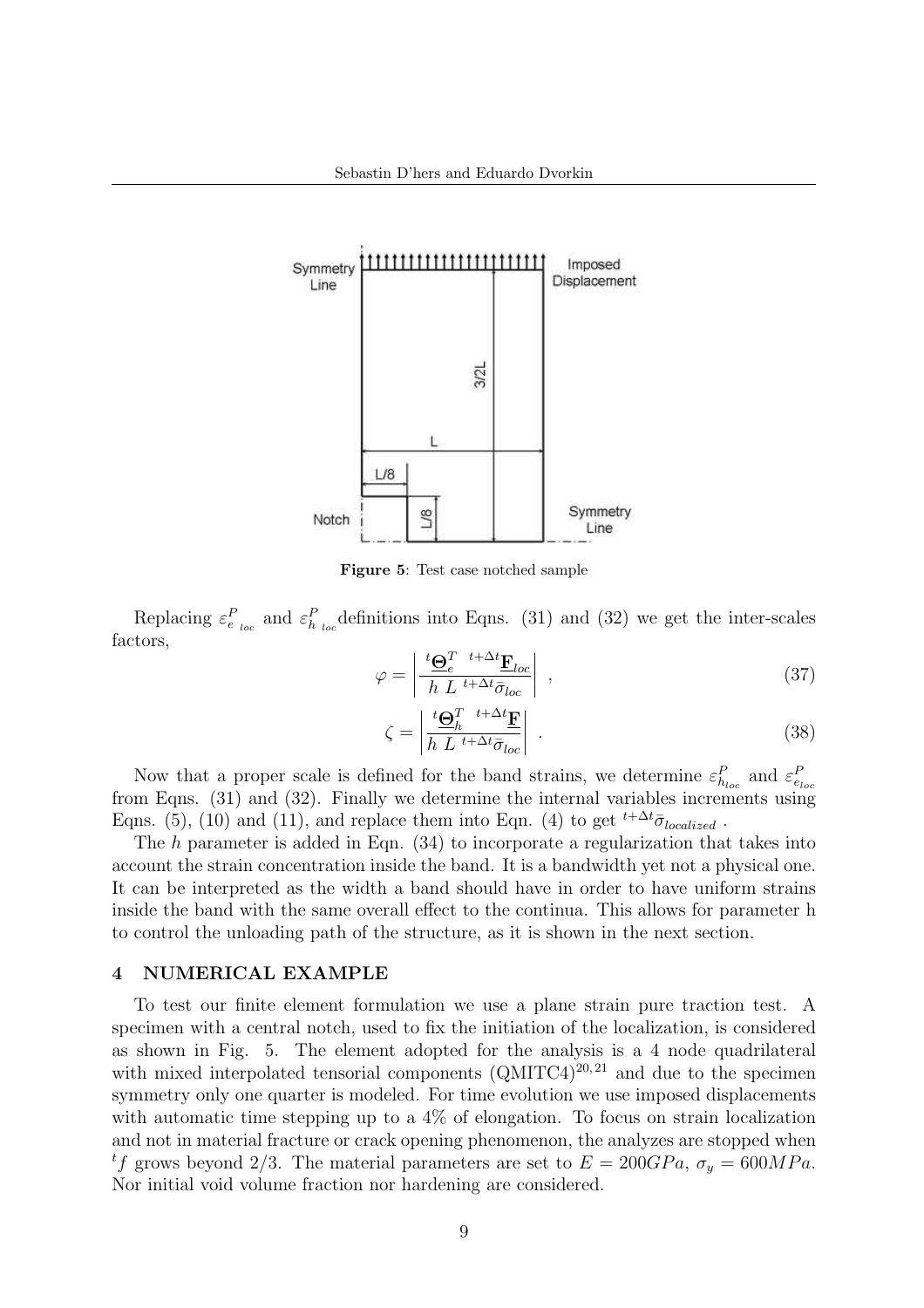

Figure 5: Test case notched sample

Replacing  $\varepsilon_{e_{loc}}^P$  and  $\varepsilon_{h_{loc}}^P$  definitions into Eqns. (31) and (32) we get the inter-scales factors,  $\overline{a}$  $\overline{a}$ 

$$
\varphi = \left| \frac{^t \mathbf{\Theta}_e^T \quad ^{t+\Delta t} \mathbf{F}_{loc}}{h \ L \quad ^{t+\Delta t} \bar{\sigma}_{loc}} \right| \ , \tag{37}
$$

$$
\zeta = \left| \frac{^t \mathbf{\Theta}_h^T \ t + \Delta t}{} \mathbf{F}}{h \ L \ t + \Delta t} \right| \ . \tag{38}
$$

Now that a proper scale is defined for the band strains, we determine  $\varepsilon_{h_{loc}}^P$  and  $\varepsilon_{e_{loc}}^P$ from Eqns. (31) and (32). Finally we determine the internal variables increments using Eqns. (5), (10) and (11), and replace them into Eqn. (4) to get  ${}^{t+\Delta t}$  $\bar{\sigma}_{localized}$ .

The  $h$  parameter is added in Eqn.  $(34)$  to incorporate a regularization that takes into account the strain concentration inside the band. It is a bandwidth yet not a physical one. It can be interpreted as the width a band should have in order to have uniform strains inside the band with the same overall effect to the continua. This allows for parameter h to control the unloading path of the structure, as it is shown in the next section.

### 4 NUMERICAL EXAMPLE

To test our finite element formulation we use a plane strain pure traction test. A specimen with a central notch, used to fix the initiation of the localization, is considered as shown in Fig. 5. The element adopted for the analysis is a 4 node quadrilateral with mixed interpolated tensorial components  $(QMITC4)^{20,21}$  and due to the specimen symmetry only one quarter is modeled. For time evolution we use imposed displacements with automatic time stepping up to a  $4\%$  of elongation. To focus on strain localization and not in material fracture or crack opening phenomenon, the analyzes are stopped when <sup>t</sup>f grows beyond 2/3. The material parameters are set to  $E = 200GPa$ ,  $\sigma_y = 600MPa$ . Nor initial void volume fraction nor hardening are considered.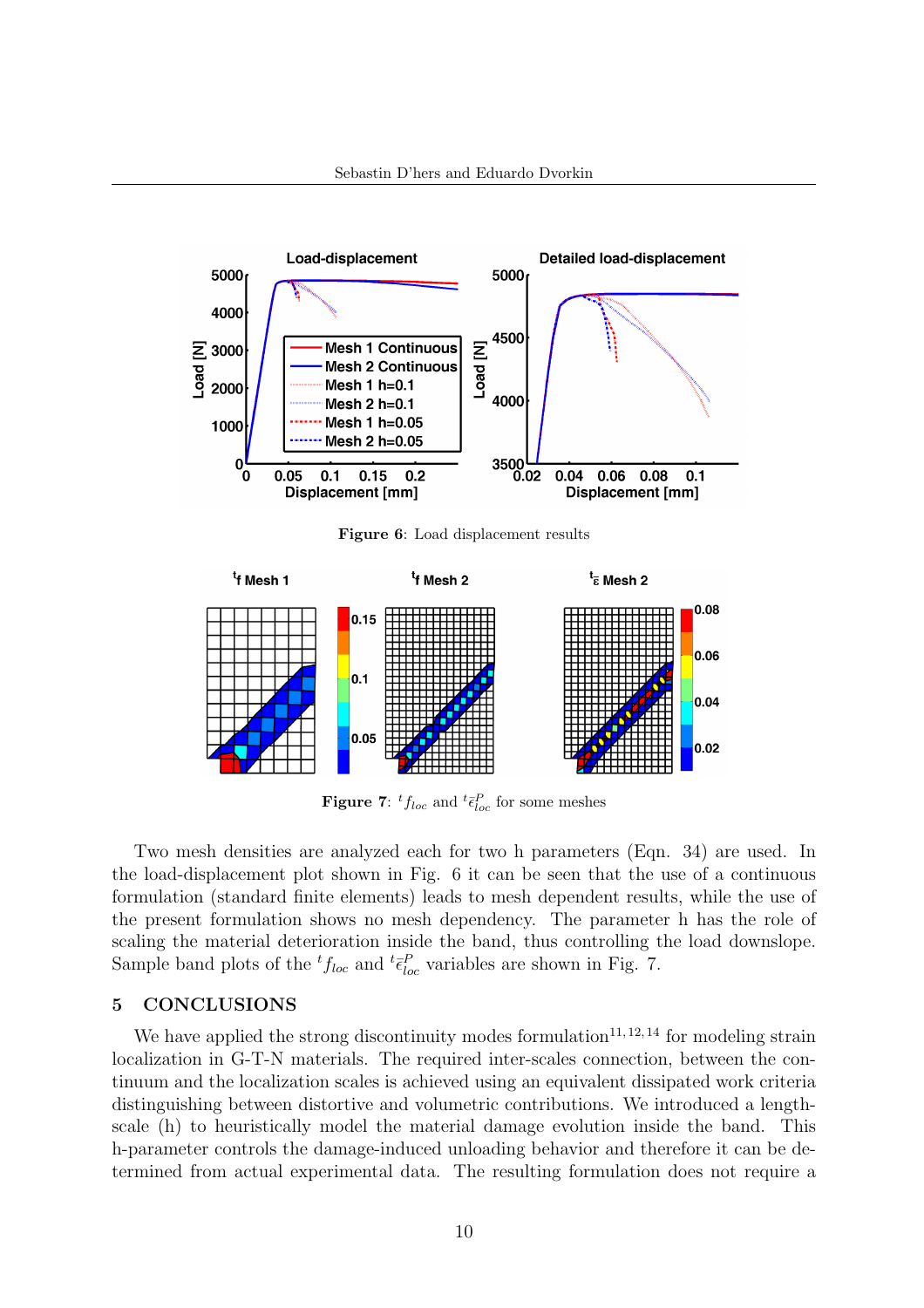

Figure 6: Load displacement results



**Figure 7:**  ${}^t f_{loc}$  and  ${}^t \bar{\epsilon}_{loc}^P$  for some meshes

Two mesh densities are analyzed each for two h parameters (Eqn. 34) are used. In the load-displacement plot shown in Fig. 6 it can be seen that the use of a continuous formulation (standard finite elements) leads to mesh dependent results, while the use of the present formulation shows no mesh dependency. The parameter h has the role of scaling the material deterioration inside the band, thus controlling the load downslope. Sample band plots of the  ${}^{t}f_{loc}$  and  ${}^{t}\bar{\epsilon}_{loc}^{P}$  variables are shown in Fig. 7.

### 5 CONCLUSIONS

We have applied the strong discontinuity modes formulation<sup>11, 12, 14</sup> for modeling strain localization in G-T-N materials. The required inter-scales connection, between the continuum and the localization scales is achieved using an equivalent dissipated work criteria distinguishing between distortive and volumetric contributions. We introduced a lengthscale (h) to heuristically model the material damage evolution inside the band. This h-parameter controls the damage-induced unloading behavior and therefore it can be determined from actual experimental data. The resulting formulation does not require a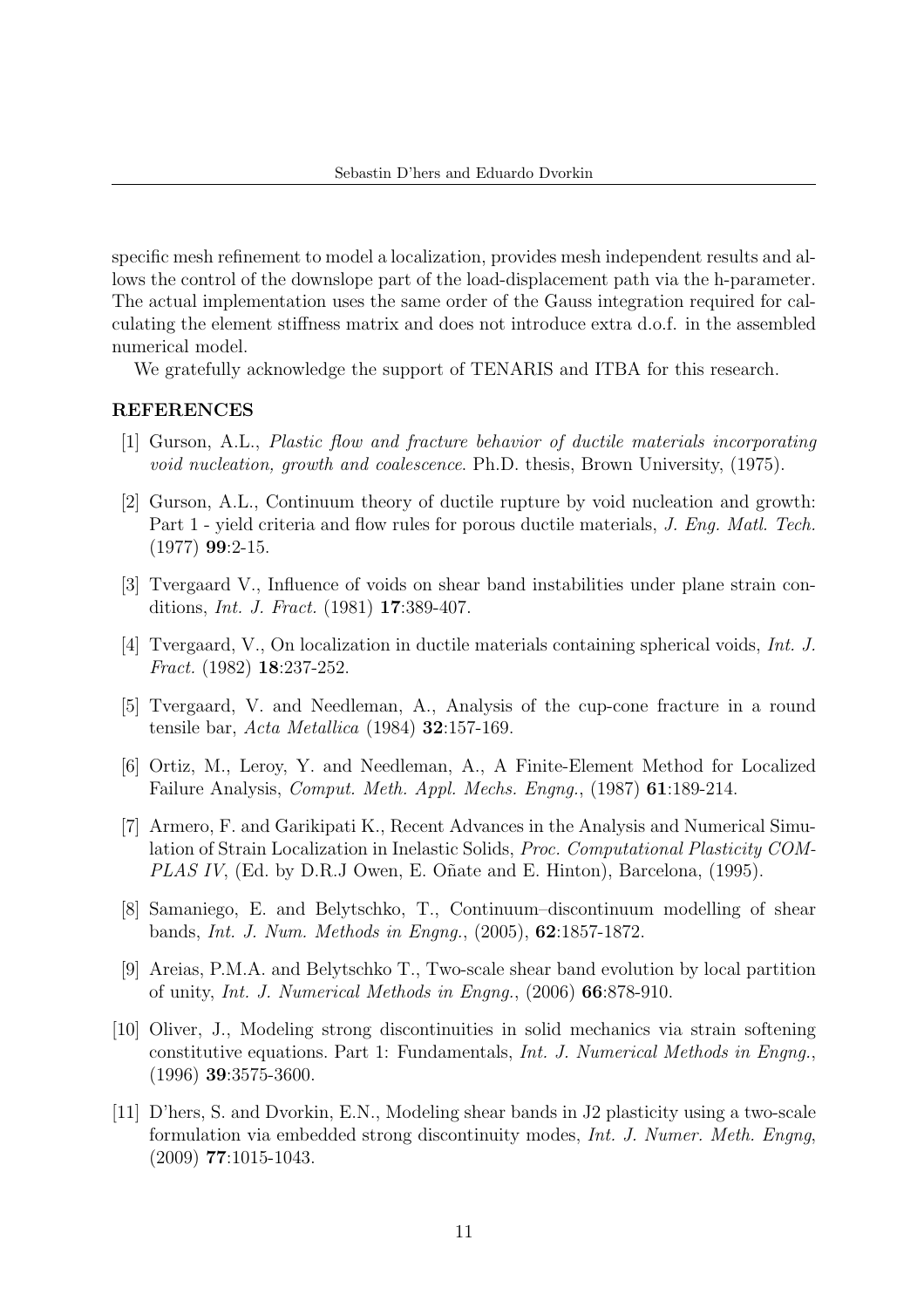specific mesh refinement to model a localization, provides mesh independent results and allows the control of the downslope part of the load-displacement path via the h-parameter. The actual implementation uses the same order of the Gauss integration required for calculating the element stiffness matrix and does not introduce extra d.o.f. in the assembled numerical model.

We gratefully acknowledge the support of TENARIS and ITBA for this research.

# REFERENCES

- [1] Gurson, A.L., Plastic flow and fracture behavior of ductile materials incorporating void nucleation, growth and coalescence. Ph.D. thesis, Brown University, (1975).
- [2] Gurson, A.L., Continuum theory of ductile rupture by void nucleation and growth: Part 1 - yield criteria and flow rules for porous ductile materials, J. Eng. Matl. Tech. (1977) 99:2-15.
- [3] Tvergaard V., Influence of voids on shear band instabilities under plane strain conditions, Int. J. Fract. (1981) 17:389-407.
- [4] Tvergaard, V., On localization in ductile materials containing spherical voids, Int. J. Fract. (1982) 18:237-252.
- [5] Tvergaard, V. and Needleman, A., Analysis of the cup-cone fracture in a round tensile bar, Acta Metallica (1984) 32:157-169.
- [6] Ortiz, M., Leroy, Y. and Needleman, A., A Finite-Element Method for Localized Failure Analysis, Comput. Meth. Appl. Mechs. Engng., (1987) 61:189-214.
- [7] Armero, F. and Garikipati K., Recent Advances in the Analysis and Numerical Simulation of Strain Localization in Inelastic Solids, Proc. Computational Plasticity COM-PLAS IV, (Ed. by D.R.J Owen, E. Oñate and E. Hinton), Barcelona, (1995).
- [8] Samaniego, E. and Belytschko, T., Continuum–discontinuum modelling of shear bands, Int. J. Num. Methods in Engng., (2005), 62:1857-1872.
- [9] Areias, P.M.A. and Belytschko T., Two-scale shear band evolution by local partition of unity, Int. J. Numerical Methods in Engng., (2006) 66:878-910.
- [10] Oliver, J., Modeling strong discontinuities in solid mechanics via strain softening constitutive equations. Part 1: Fundamentals, Int. J. Numerical Methods in Engng., (1996) 39:3575-3600.
- [11] D'hers, S. and Dvorkin, E.N., Modeling shear bands in J2 plasticity using a two-scale formulation via embedded strong discontinuity modes, Int. J. Numer. Meth. Engng, (2009) 77:1015-1043.